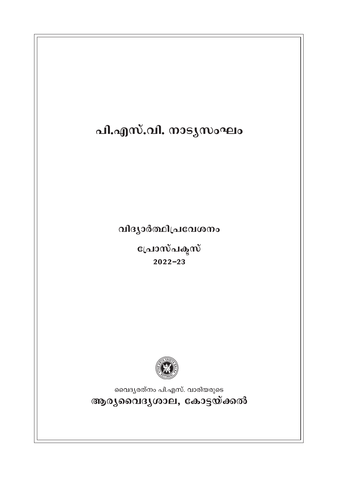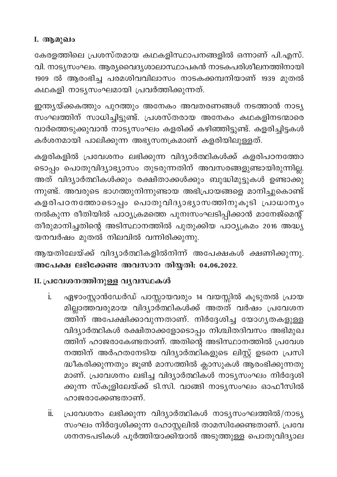## I. ആമുഖം

കേരളത്തിലെ പ്രശസ്തമായ കഥകളിസ്ഥാപനങ്ങളിൽ ഒന്നാണ് പി.എസ്. വി. നാട്യസംഘം. ആര്യവൈദൃശാലാസ്ഥാപകൻ നാടകപരിശീലനത്തിനായി 1909 ൽ ആരംഭിച്ച പരമശിവവിലാസം നാടകക്കമ്പനിയാണ് 1939 മുതൽ കഥകളി നാട്യസംഘമായി പ്രവർത്തിക്കുന്നത്.

ഇന്ത്യയ്ക്കകത്തും പുറത്തും അനേകം അവതരണങ്ങൾ നടത്താൻ നാട്യ സംഘത്തിന് സാധിച്ചിട്ടുണ്ട്. പ്രശസ്തരായ അനേകം കഥകളിനടന്മാരെ വാർത്തെടുക്കുവാൻ നാട്യസംഘം കളരിക്ക് കഴിഞ്ഞിട്ടുണ്ട്. കളരിച്ചിട്ടകൾ കർശനമായി പാലിക്കുന്ന അഭ്യസനക്രമാണ് കളരിയിലുള്ളത്.

കളരികളിൽ പ്രവേശനം ലഭിക്കുന്ന വിദ്യാർത്ഥികൾക്ക് കളരിപഠനത്തോ ടൊപ്പം പൊതുവിദ്യാഭ്യാസം തുടരുന്നതിന് അവസരങ്ങളുണ്ടായിരുന്നില്ല. അത് വിദ്യാർത്ഥികൾക്കും രക്ഷിതാക്കൾക്കും ബുദ്ധിമുട്ടുകൾ ഉണ്ടാക്കു ന്നുണ്ട്. അവരുടെ ഭാഗത്തുനിന്നുണ്ടായ അഭിപ്രായങ്ങളെ മാനിച്ചുകൊണ്ട് കളരിപഠനത്തോടൊപ്പം പൊതുവിദ്യാഭ്യാസത്തിനുകൂടി പ്രാധാന്യം നൽകുന്ന രീതിയിൽ പാഠ്യക്രമത്തെ പുനഃസംഘടിപ്പിക്കാൻ മാനേജ്മെന്റ് .<br>തീരുമാനിച്ചതിന്റെ അടിസ്ഥാനത്തിൽ പുതുക്കിയ പാഠ്യക്രമം 2016 അദ്ധ്യ യനവർഷം മുതൽ നിലവിൽ വന്നിരിക്കുന്നു.

ആയതിലേയ്ക്ക് വിദ്യാർത്ഥികളിൽനിന്ന് അപേക്ഷകൾ ക്ഷണിക്കുന്നു. അപേക്ഷ ലഭിക്കേണ്ട അവസാന തിയ്യതി: 04.06.2022.

## II. പ്രവേശനത്തിനുള്ള വൃവസ്ഥകൾ

- ഏഴാംസ്റ്റാൻഡേർഡ് പാസ്സായവരും 14 വയസ്സിൽ കൂടുതൽ പ്രായ  $\mathbf{i}$ . മില്ലാത്തവരുമായ വിദ്യാർത്ഥികൾക്ക് അതത് വർഷം പ്രവേശന ത്തിന് അപേക്ഷിക്കാവുന്നതാണ്. നിർദ്ദേശിച്ച യോഗൃതകളുള്ള വിദ്യാർത്ഥികൾ രക്ഷിതാക്കളോടൊപ്പം നിശ്ചിതദിവസം അഭിമുഖ ത്തിന് ഹാജരാകേണ്ടതാണ്. അതിന്റെ അടിസ്ഥാനത്തിൽ പ്രവേശ നത്തിന് അർഹതനേടിയ വിദ്യാർത്ഥികളുടെ ലിസ്റ്റ് ഉടനെ പ്രസി ദ്ധീകരിക്കുന്നതും ജൂൺ മാസത്തിൽ ക്ലാസുകൾ ആരംഭിക്കുന്നതു മാണ്. പ്രവേശനം ലഭിച്ച വിദ്യാർത്ഥികൾ നാട്യസംഘം നിർദ്ദേശി ക്കുന്ന സ്കൂളിലേയ്ക്ക് ടി.സി. വാങ്ങി നാട്യസംഘം ഓഫീസിൽ ഹാജരാക്കേണ്ടതാണ്.
- പ്രവേശനം ലഭിക്കുന്ന വിദ്യാർത്ഥികൾ നാട്യസംഘത്തിൽ/നാട്യ ï. സംഘം നിർദ്ദേശിക്കുന്ന ഹോസ്റ്റലിൽ താമസിക്കേണ്ടതാണ്. പ്രവേ ശനനടപടികൾ പൂർത്തിയാക്കിയാൽ അടുത്തുള്ള പൊതുവിദ്യാല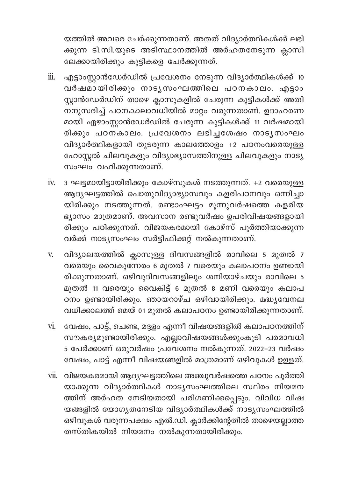യത്തിൽ അവരെ ചേർക്കുന്നതാണ്. അതത് വിദ്യാർത്ഥികൾക്ക് ലഭി ക്കുന്ന ടി.സി.യുടെ അടിസ്ഥാനത്തിൽ അർഹതനേടുന്ന ക്ലാസി ലേക്കായിരിക്കും കുട്ടികളെ ചേർക്കുന്നത്.

- എട്ടാംസ്റ്റാൻഡേർഡിൽ പ്രവേശനം നേടുന്ന വിദ്യാർത്ഥികൾക്ക് 10  $\dddot{\mathbf{m}}$ . വർഷമായിരിക്കും നാടൃസംഘത്തിലെ പഠനകാലം. എട്ടാം സ്റ്റാൻഡേർഡിന് താഴെ ക്ലാസുകളിൽ ചേരുന്ന കുട്ടികൾക്ക് അതി ം.<br>നനുസരിച്ച് പഠനകാലാവധിയിൽ മാറ്റം വരുന്നതാണ്. ഉദാഹരണ മായി ഏഴാംസ്റ്റാൻഡേർഡിൽ ചേരുന്ന കുട്ടികൾക്ക് 11 വർഷമായി രിക്കും പഠന്കാലം. പ്രവേശനം ലഭിച്ചശേഷം നാടൃസംഘം വിദ്യാർത്ഥികളായി തുടരുന്ന കാലത്തോളം +2 പഠനംവരെയുള്ള ഹോസ്റ്റൽ ചിലവുകളും വിദ്യാഭ്യാസത്തിനുള്ള ചിലവുകളും നാട്യ സംഘം വഹിക്കുന്നതാണ്.
- iv. 3 ഘട്ടമായിട്ടായിരിക്കും കോഴ്സുകൾ നടത്തുന്നത്. +2 വരെയുള്ള ആദ്യഘട്ടത്തിൽ പൊതുവിദ്യാഭ്യാസവും കളരിപഠനവും ഒന്നിച്ചാ യിരിക്കും നടത്തുന്നത്. രണ്ടാംഘട്ടം മൂന്നുവർഷത്തെ കളരിയ ഭ്യാസം മാത്രമാണ്. അവസാന രണ്ടുവർഷം ഉപരിവിഷയങ്ങളായി .<br>രിക്കും പഠിക്കുന്നത്. വിജയകരമായി കോഴ്സ് പൂർത്തിയാക്കുന്ന വർക്ക് നാട്യസംഘം സർട്ടിഫിക്കറ്റ് നൽകുന്നതാണ്.
- v. വിദ്യാലയത്തിൽ ക്ലാസുള്ള ദിവസങ്ങളിൽ രാവിലെ 5 മുതൽ 7 വരെയും വൈകുന്നേരം 6 മുതൽ 7 വരെയും കലാപഠനം ഉണ്ടായി രിക്കുന്നതാണ്. ഒഴിവുദിവസങ്ങളിലും ശനിയാഴ്ചയും രാവിലെ 5 മുതൽ 11 വരെയും വൈകിട്ട് 6 മുതൽ 8 മണി വരെയും കലാപ ഠനം ഉണ്ടായിരിക്കും. ഞായറാഴ്ച ഒഴിവായിരിക്കും. മദ്ധ്യവേനല വധിക്കാലത്ത് മെയ് 01 മുതൽ കലാപഠനം ഉണ്ടായിരിക്കുന്നതാണ്.
- vi. വേഷം, പാട്ട്, ചെണ്ട, മദ്ദളം എന്നീ വിഷയങ്ങളിൽ കലാപഠനത്തിന് സൗകര്യമുണ്ടായിരിക്കും. എല്ലാവിഷയങ്ങൾക്കുംകൂടി പരമാവധി 5 പേർക്കാണ് ഒരുവർഷം പ്രവേശനം നൽകുന്നത്. 2022-23 വർഷം വേഷം, പാട്ട് എന്നീ വിഷയങ്ങളിൽ മാത്രമാണ് ഒഴിവുകൾ ഉള്ളത്.
- vii. വിജയകരമായി ആദ്യഘട്ടത്തിലെ അഞ്ചുവർഷത്തെ പഠനം പൂർത്തി യാക്കുന്ന വിദ്യാർത്ഥികൾ നാട്യസംഘത്തിലെ സ്ഥിരം നിയമന ത്തിന് അർഹത നേടിയതായി പരിഗണിക്കപ്പെടും. വിവിധ വിഷ യങ്ങളിൽ യോഗ്യതനേടിയ വിദ്യാർത്ഥികൾക്ക് നാട്യസംഘത്തിൽ ഒഴിവുകൾ വരുന്നപക്ഷം എൽ.ഡി. ക്ലാർക്കിന്റേതിൽ താഴെയല്ലാത്ത തസ്തികയിൽ നിയമനം നൽകുന്നതായിരിക്കും.